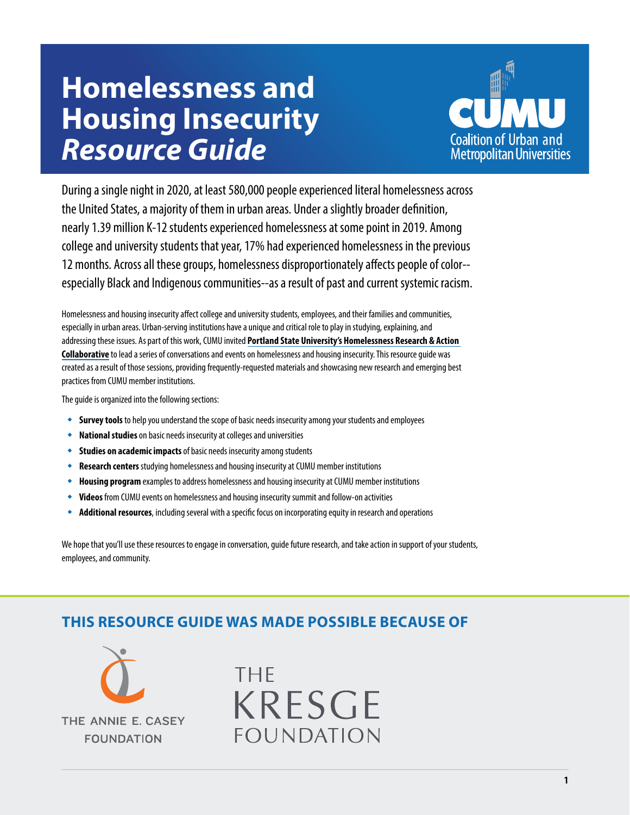# **Homelessness and Housing Insecurity**  *Resource Guide*



During a single night in 2020, at least 580,000 people experienced literal homelessness across the United States, a majority of them in urban areas. Under a slightly broader definition, nearly 1.39 million K-12 students experienced homelessness at some point in 2019. Among college and university students that year, 17% had experienced homelessness in the previous 12 months. Across all these groups, homelessness disproportionately affects people of color- especially Black and Indigenous communities--as a result of past and current systemic racism.

Homelessness and housing insecurity affect college and university students, employees, and their families and communities, especially in urban areas. Urban-serving institutions have a unique and critical role to play in studying, explaining, and addressing these issues. As part of this work, CUMU invited **[Portland State University's Homelessness Research & Action](https://www.pdx.edu/homelessness/)  [Collaborative](https://www.pdx.edu/homelessness/)** to lead a series of conversations and events on homelessness and housing insecurity. This resource guide was created as a result of those sessions, providing frequently-requested materials and showcasing new research and emerging best practices from CUMU member institutions.

The guide is organized into the following sections:

- **Survey tools** to help you understand the scope of basic needs insecurity among your students and employees
- **National studies** on basic needs insecurity at colleges and universities
- **Studies on academic impacts**of basic needs insecurity among students
- **Research centers** studying homelessness and housing insecurity at CUMU member institutions
- **Housing program** examples to address homelessness and housing insecurity at CUMU member institutions
- **Videos** from CUMU events on homelessness and housing insecurity summit and follow-on activities
- **Additional resources**, including several with a specific focus on incorporating equity in research and operations

We hope that you'll use these resources to engage in conversation, guide future research, and take action in support of your students, employees, and community.

### **THIS RESOURCE GUIDE WAS MADE POSSIBLE BECAUSE OF**



# **THF KRESGE FOUNDATION**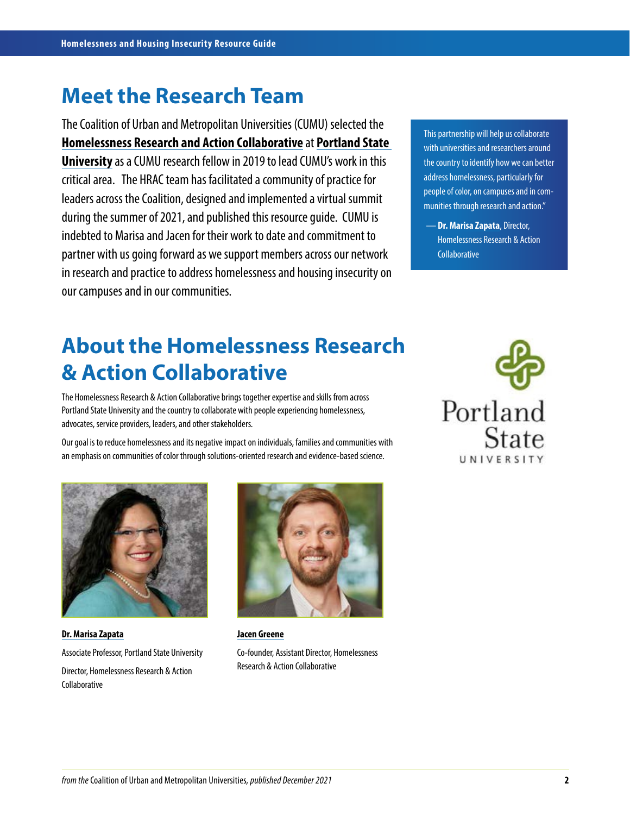## **Meet the Research Team**

The Coalition of Urban and Metropolitan Universities (CUMU) selected the **[Homelessness Research and Action Collaborative](https://www.pdx.edu/homelessness/homelessness-research)** at **[Portland State](https://www.pdx.edu/)  [University](https://www.pdx.edu/)** as a CUMU research fellow in 2019 to lead CUMU's work in this critical area. The HRAC team has facilitated a community of practice for leaders across the Coalition, designed and implemented a virtual summit during the summer of 2021, and published this resource guide. CUMU is indebted to Marisa and Jacen for their work to date and commitment to partner with us going forward as we support members across our network in research and practice to address homelessness and housing insecurity on our campuses and in our communities.

This partnership will help us collaborate with universities and researchers around the country to identify how we can better address homelessness, particularly for people of color, on campuses and in communities through research and action."

— **[Dr. Marisa Zapata](https://www.pdx.edu/profile/marisa-zapata)**, Director, Homelessness Research & Action **Collaborative** 

# **About the Homelessness Research & Action Collaborative**

The Homelessness Research & Action Collaborative brings together expertise and skills from across Portland State University and the country to collaborate with people experiencing homelessness, advocates, service providers, leaders, and other stakeholders.

Our goal is to reduce homelessness and its negative impact on individuals, families and communities with an emphasis on communities of color through solutions-oriented research and evidence-based science.



**[Dr. Marisa Zapata](https://www.pdx.edu/homelessness/profile/marisa-zapata)** Associate Professor, Portland State University Director, Homelessness Research & Action Collaborative



**[Jacen Greene](https://www.pdx.edu/homelessness/profile/jacen-greene)** Co-founder, Assistant Director, Homelessness Research & Action Collaborative

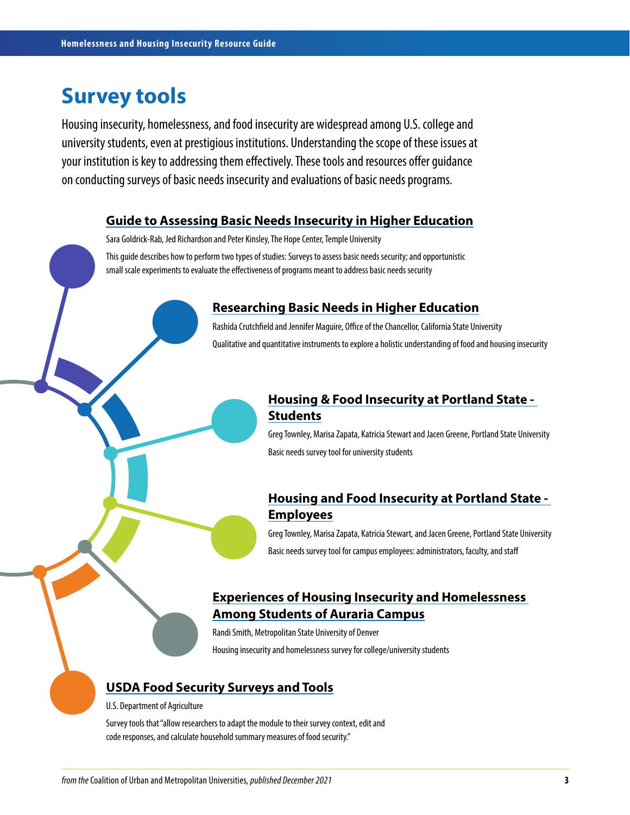### **Survey tools**

Housing insecurity, homelessness, and food insecurity are widespread among U.S. college and university students, even at prestigious institutions. Understanding the scope of these issues at your institution is key to addressing them effectively. These tools and resources offer guidance on conducting surveys of basic needs insecurity and evaluations of basic needs programs.

#### **[Guide to Assessing Basic Needs Insecurity in Higher Education](https://hope4college.com/wp-content/uploads/2018/09/Basic-Needs-Insecurity-College-Students.pdf)**

Sara Goldrick-Rab, Jed Richardson and Peter Kinsley, The Hope Center, Temple University

This guide describes how to perform two types of studies: Surveys to assess basic needs security; and opportunistic small scale experiments to evaluate the effectiveness of programs meant to address basic needs security

#### **[Researching Basic Needs in Higher Education](https://drive.google.com/file/d/1XdGuXB7PXmO4RL1aIRnckR2j0HLyt455/view?usp=sharing)**

Rashida Crutchfield and Jennifer Maguire, Office of the Chancellor, California State University Qualitative and quantitative instruments to explore a holistic understanding of food and housing insecurity

#### **[Housing & Food Insecurity at Portland State -](https://docs.google.com/document/d/1gsEcxPmsa1-ss43PpLJy4atYVw845U-5/edit?usp=sharing&ouid=100727703012876896599&rtpof=true&sd=true)  [Students](https://docs.google.com/document/d/1gsEcxPmsa1-ss43PpLJy4atYVw845U-5/edit?usp=sharing&ouid=100727703012876896599&rtpof=true&sd=true)**

Greg Townley, Marisa Zapata, Katricia Stewart and Jacen Greene, Portland State University Basic needs survey tool for university students

#### **[Housing and Food Insecurity at Portland State -](https://docs.google.com/document/d/1mJLXxrP0CIP8tKTIU8n0fpyU_BHxMjvH/edit?usp=sharing&ouid=100727703012876896599&rtpof=true&sd=true)  [Employees](https://docs.google.com/document/d/1mJLXxrP0CIP8tKTIU8n0fpyU_BHxMjvH/edit?usp=sharing&ouid=100727703012876896599&rtpof=true&sd=true)**

Greg Townley, Marisa Zapata, Katricia Stewart, and Jacen Greene, Portland State University Basic needs survey tool for campus employees: administrators, faculty, and staff

#### **[Experiences of Housing Insecurity and Homelessness](https://docs.google.com/document/d/1-o5SZQIGNrcowzSSscfY6qxXvw5GZCvL/edit?usp=sharing&ouid=100727703012876896599&rtpof=true&sd=true)  [Among Students of Auraria Campus](https://docs.google.com/document/d/1-o5SZQIGNrcowzSSscfY6qxXvw5GZCvL/edit?usp=sharing&ouid=100727703012876896599&rtpof=true&sd=true)**

Randi Smith, Metropolitan State University of Denver

Housing insecurity and homelessness survey for college/university students

#### **[USDA Food Security Surveys and Tools](https://www.ers.usda.gov/topics/food-nutrition-assistance/food-security-in-the-us/survey-tools/)**

U.S. Department of Agriculture

Survey tools that "allow researchers to adapt the module to their survey context, edit and code responses, and calculate household summary measures of food security."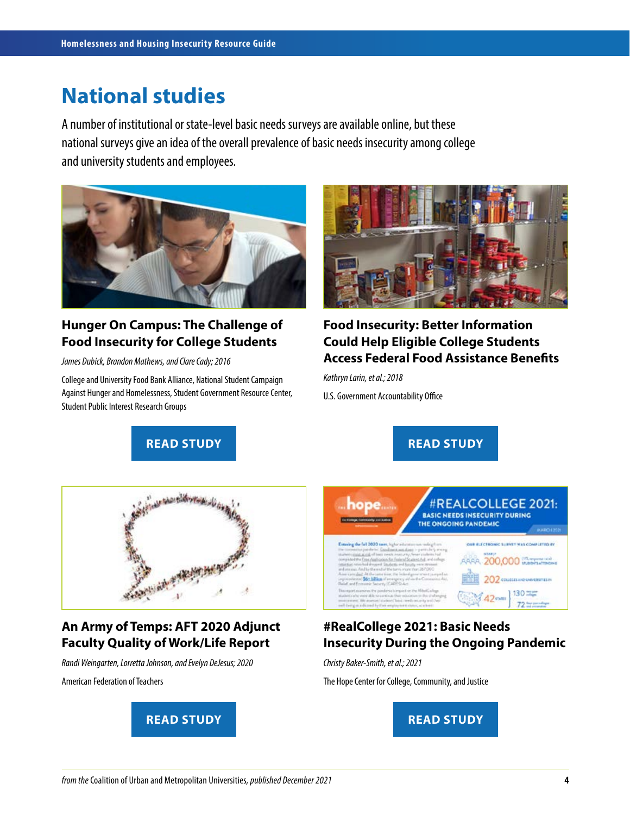### **National studies**

A number of institutional or state-level basic needs surveys are available online, but these national surveys give an idea of the overall prevalence of basic needs insecurity among college and university students and employees.



#### **Hunger On Campus: The Challenge of Food Insecurity for College Students**

*James Dubick, Brandon Mathews, and Clare Cady; 2016*

College and University Food Bank Alliance, National Student Campaign Against Hunger and Homelessness, Student Government Resource Center, Student Public Interest Research Groups



#### **Food Insecurity: Better Information Could Help Eligible College Students Access Federal Food Assistance Benefits**

*Kathryn Larin, et al.; 2018*

**READ STUDY CONSUMING A READ STUDY** 

U.S. Government Accountability Office



#### **An Army of Temps: AFT 2020 Adjunct Faculty Quality of Work/Life Report**

*Randi Weingarten, Lorretta Johnson, and Evelyn DeJesus; 2020*

American Federation of Teachers



#REALCOLLEGE 2021: hope.... **BASIC NEEDS INSECURITY DURING** THE ONGOING PANDEMIC OUR ELECTRONIC SURVEY WAS COMPLETED BY g the fall 2020 sam, light who a sea door AAAA 200,000 Webharmone 202 contenuo uventitiin  $130 =$ 

#### **#RealCollege 2021: Basic Needs Insecurity During the Ongoing Pandemic**

*Christy Baker-Smith, et al.; 2021*

The Hope Center for College, Community, and Justice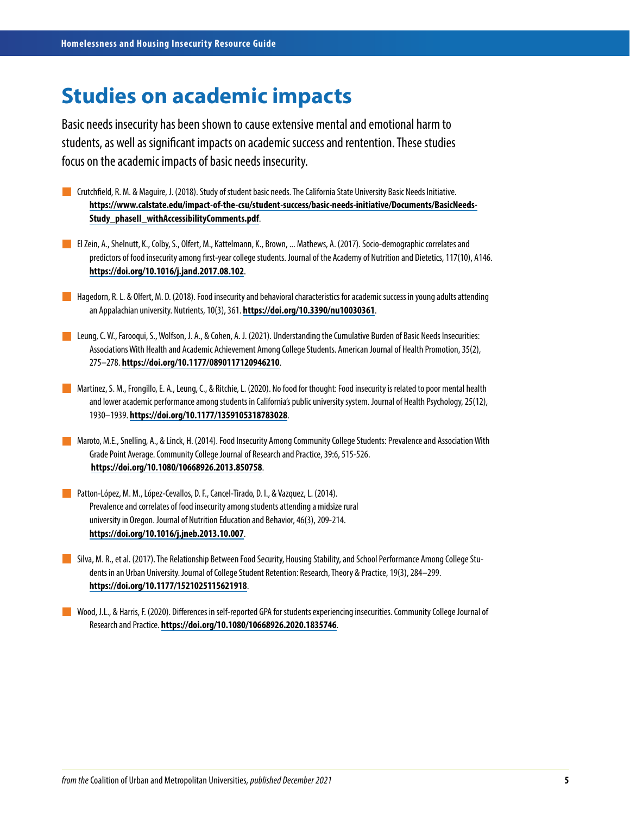### **Studies on academic impacts**

Basic needs insecurity has been shown to cause extensive mental and emotional harm to students, as well as significant impacts on academic success and rentention. These studies focus on the academic impacts of basic needs insecurity.

- Crutchfield, R. M. & Maguire, J. (2018). Study of student basic needs. The California State University Basic Needs Initiative. **[https://www.calstate.edu/impact-of-the-csu/student-success/basic-needs-initiative/Documents/BasicNeeds-](https://www.calstate.edu/impact-of-the-csu/student-success/basic-needs-initiative/Documents/BasicNeedsStudy_phaseII_withAccessibilityComments.pdf)[Study\\_phaseII\\_withAccessibilityComments.pdf](https://www.calstate.edu/impact-of-the-csu/student-success/basic-needs-initiative/Documents/BasicNeedsStudy_phaseII_withAccessibilityComments.pdf)**.
- El Zein, A., Shelnutt, K., Colby, S., Olfert, M., Kattelmann, K., Brown, ... Mathews, A. (2017). Socio-demographic correlates and predictors of food insecurity among first-year college students. Journal of the Academy of Nutrition and Dietetics, 117(10), A146. **<https://doi.org/10.1016/j.jand.2017.08.102>**.
- **Hagedorn, R. L. & Olfert, M. D. (2018). Food insecurity and behavioral characteristics for academic success in young adults attending** an Appalachian university. Nutrients, 10(3), 361. **<https://doi.org/10.3390/nu10030361>**.
- **Leung, C. W., Farooqui, S., Wolfson, J. A., & Cohen, A. J. (2021). Understanding the Cumulative Burden of Basic Needs Insecurities:** Associations With Health and Academic Achievement Among College Students. American Journal of Health Promotion, 35(2), 275–278. **<https://doi.org/10.1177/0890117120946210>**.
- Martinez, S. M., Frongillo, E. A., Leung, C., & Ritchie, L. (2020). No food for thought: Food insecurity is related to poor mental health and lower academic performance among students in California's public university system. Journal of Health Psychology, 25(12), 1930–1939. **<https://doi.org/10.1177/1359105318783028>**.
- Maroto, M.E., Snelling, A., & Linck, H. (2014). Food Insecurity Among Community College Students: Prevalence and Association With Grade Point Average. Community College Journal of Research and Practice, 39:6, 515-526. **<https://doi.org/10.1080/10668926.2013.850758>**.
- Patton-López, M. M., López-Cevallos, D. F., Cancel-Tirado, D. I., & Vazquez, L. (2014). Prevalence and correlates of food insecurity among students attending a midsize rural university in Oregon. Journal of Nutrition Education and Behavior, 46(3), 209-214. **<https://doi.org/10.1016/j.jneb.2013.10.007>**.
- Silva, M. R., et al. (2017). The Relationship Between Food Security, Housing Stability, and School Performance Among College Students in an Urban University. Journal of College Student Retention: Research, Theory & Practice, 19(3), 284–299. **<https://doi.org/10.1177/1521025115621918>**.
- Wood, J.L., & Harris, F. (2020). Differences in self-reported GPA for students experiencing insecurities. Community College Journal of Research and Practice. **<https://doi.org/10.1080/10668926.2020.1835746>**.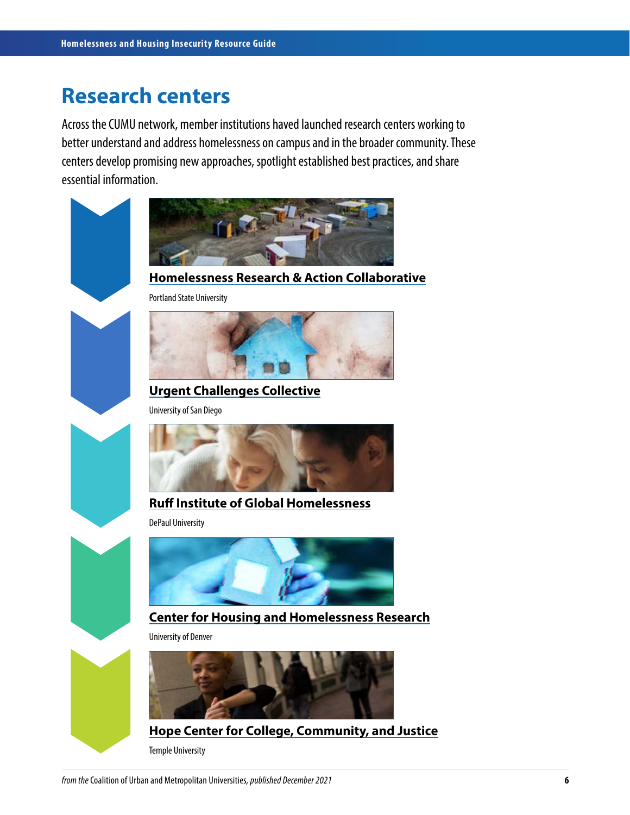### **Research centers**

Across the CUMU network, member institutions haved launched research centers working to better understand and address homelessness on campus and in the broader community. These centers develop promising new approaches, spotlight established best practices, and share essential information.



#### **[Homelessness Research & Action Collaborative](https://www.pdx.edu/homelessness/)**

Portland State University



**[Urgent Challenges Collective](https://www.sandiego.edu/homelessness/)** University of San Diego



#### **[Ruff Institute of Global Homelessness](https://ighomelessness.org/)**

DePaul University



#### **[Center for Housing and Homelessness Research](https://socialwork.du.edu/chhr)**

University of Denver



**[Hope Center for College, Community, and Justice](https://hope4college.com/)**

Temple University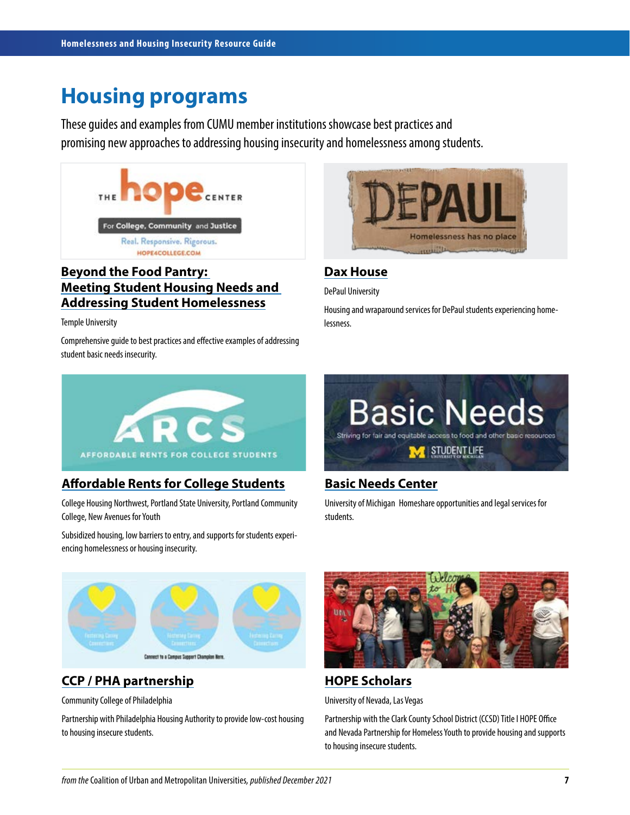## **Housing programs**

These guides and examples from CUMU member institutions showcase best practices and promising new approaches to addressing housing insecurity and homelessness among students.



#### **[Beyond the Food Pantry:](https://hope4college.com/wp-content/uploads/2021/08/Meeting-Student-Housing-Needs.pdf)  [Meeting Student Housing Needs and](https://hope4college.com/wp-content/uploads/2021/08/Meeting-Student-Housing-Needs.pdf)  [Addressing Student Homelessness](https://hope4college.com/wp-content/uploads/2021/08/Meeting-Student-Housing-Needs.pdf)**

Temple University

Comprehensive guide to best practices and effective examples of addressing student basic needs insecurity.



#### **[Dax House](https://depaulusa.org/programs/chicago/)**

DePaul University

Housing and wraparound services for DePaul students experiencing homelessness.



#### **[Affordable Rents for College Students](https://chnw.org/arcs/)**

College Housing Northwest, Portland State University, Portland Community College, New Avenues for Youth

Subsidized housing, low barriers to entry, and supports for students experiencing homelessness or housing insecurity.



#### **[Basic Needs Center](https://basicneeds.studentlife.umich.edu/category/housing-transportation/)**

University of Michigan Homeshare opportunities and legal services for students.



#### **[CCP / PHA partnership](https://www.ccp.edu/about-us/news/press-release/community-college-philadelphia-pha-partner-provide-housing-students-who-are-housing-insecure)**

Community College of Philadelphia

Partnership with Philadelphia Housing Authority to provide low-cost housing to housing insecure students.



#### **[HOPE Scholars](https://www.unlv.edu/sll/scholarships/unlv-hope-scholars)**

University of Nevada, Las Vegas

Partnership with the Clark County School District (CCSD) Title I HOPE Office and Nevada Partnership for Homeless Youth to provide housing and supports to housing insecure students.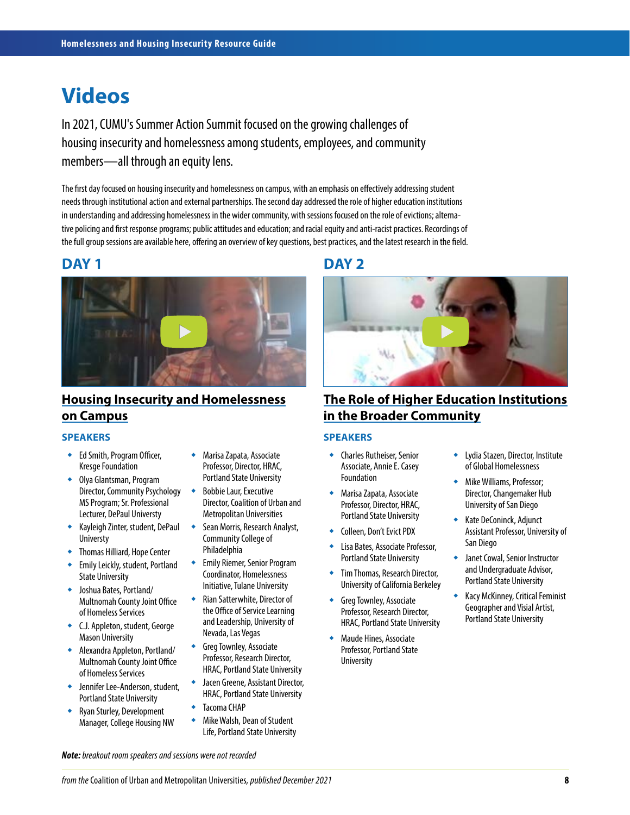### **Videos**

In 2021, CUMU's Summer Action Summit focused on the growing challenges of housing insecurity and homelessness among students, employees, and community members—all through an equity lens.

The first day focused on housing insecurity and homelessness on campus, with an emphasis on effectively addressing student needs through institutional action and external partnerships. The second day addressed the role of higher education institutions in understanding and addressing homelessness in the wider community, with sessions focused on the role of evictions; alternative policing and first response programs; public attitudes and education; and racial equity and anti-racist practices. Recordings of the full group sessions are available here, offering an overview of key questions, best practices, and the latest research in the field.



#### **[Housing Insecurity and Homelessness](https://vimeo.com/582151510/7bba4aeaae) [on Campus](https://vimeo.com/582151510/7bba4aeaae)**

#### **SPEAKERS**

- Ed Smith, Program Officer, Kresge Foundation
- Olya Glantsman, Program Director, Community Psychology MS Program; Sr. Professional Lecturer, DePaul Universty
- Kayleigh Zinter, student, DePaul Universty
- Thomas Hilliard, Hope Center
- Emily Leickly, student, Portland State University
- Joshua Bates, Portland/ Multnomah County Joint Office of Homeless Services
- C.J. Appleton, student, George Mason University
- Alexandra Appleton, Portland/ Multnomah County Joint Office of Homeless Services
- Jennifer Lee-Anderson, student, Portland State University
- Ryan Sturley, Development Manager, College Housing NW
- Marisa Zapata, Associate Professor, Director, HRAC, Portland State University
- Bobbie Laur, Executive Director, Coalition of Urban and Metropolitan Universities
- Sean Morris, Research Analyst, Community College of Philadelphia
- Emily Riemer, Senior Program Coordinator, Homelessness Initiative, Tulane University
- Rian Satterwhite, Director of the Office of Service Learning and Leadership, University of Nevada, Las Vegas
- ◆ Greg Townley, Associate Professor, Research Director, HRAC, Portland State University
- Jacen Greene, Assistant Director, HRAC, Portland State University
- ◆ Tacoma CHAP
- Mike Walsh, Dean of Student Life, Portland State University

### **DAY 1 DAY 2**



#### **[The Role of Higher Education Institutions](https://vimeo.com/585499464/1eb253b47d)  [in the Broader Community](https://vimeo.com/585499464/1eb253b47d)**

#### **SPEAKERS**

- Charles Rutheiser, Senior Associate, Annie E. Casey Foundation
- Marisa Zapata, Associate Professor, Director, HRAC, Portland State University
- ◆ Colleen, Don't Evict PDX
- Lisa Bates, Associate Professor, Portland State University
- **Tim Thomas, Research Director,** University of California Berkeley
- Greg Townley, Associate Professor, Research Director, HRAC, Portland State University
- Maude Hines, Associate Professor, Portland State University
- Lydia Stazen, Director, Institute of Global Homelessness
- **Mike Williams, Professor;** Director, Changemaker Hub University of San Diego
- ◆ Kate DeConinck, Adjunct Assistant Professor, University of San Diego
- Janet Cowal, Senior Instructor and Undergraduate Advisor, Portland State University
- **Kacy McKinney, Critical Feminist** Geographer and Visial Artist, Portland State University

*Note: breakout room speakers and sessions were not recorded*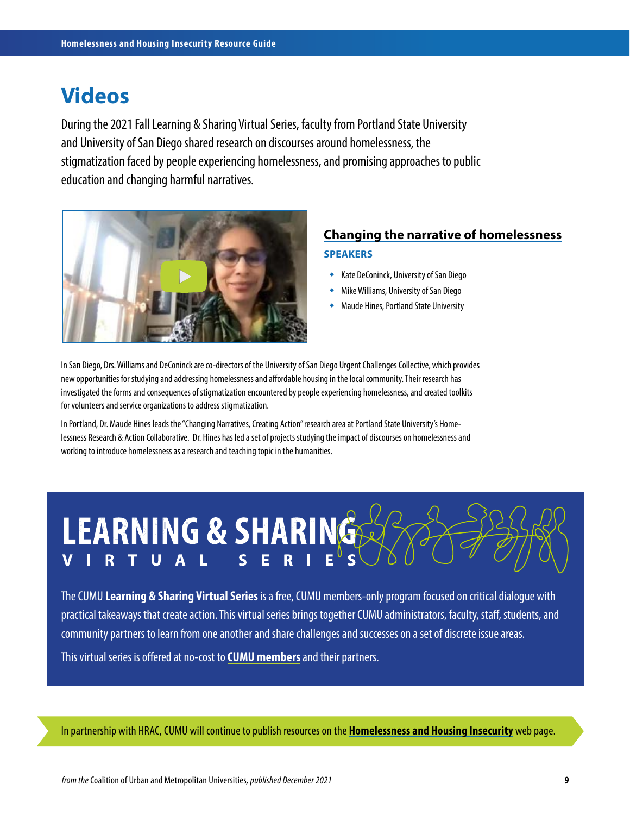### **Videos**

During the 2021 Fall Learning & Sharing Virtual Series, faculty from Portland State University and University of San Diego shared research on discourses around homelessness, the stigmatization faced by people experiencing homelessness, and promising approaches to public education and changing harmful narratives.



### **[Changing the narrative of homelessness](https://vimeo.com/648692846/5bbf0e44eb) SPEAKERS**

- Kate DeConinck, University of San Diego
- Mike Williams, University of San Diego
- Maude Hines, Portland State University

In San Diego, Drs. Williams and DeConinck are co-directors of the University of San Diego Urgent Challenges Collective, which provides new opportunities for studying and addressing homelessness and affordable housing in the local community. Their research has investigated the forms and consequences of stigmatization encountered by people experiencing homelessness, and created toolkits for volunteers and service organizations to address stigmatization.

In Portland, Dr. Maude Hines leads the "Changing Narratives, Creating Action" research area at Portland State University's Homelessness Research & Action Collaborative. Dr. Hines has led a set of projects studying the impact of discourses on homelessness and working to introduce homelessness as a research and teaching topic in the humanities.



The CUMU **[Learning & Sharing Virtual Series](https://www.cumuonline.org/cumu-programming/cumu-learning-sharing-virtual-series/)** is a free, CUMU members-only program focused on critical dialogue with practical takeaways that create action. This virtual series brings together CUMU administrators, faculty, staff, students, and community partners to learn from one another and share challenges and successes on a set of discrete issue areas. This virtual series is offered at no-cost to **[CUMU members](https://www.cumuonline.org/cumu-members/)** and their partners.

In partnership with HRAC, CUMU will continue to publish resources on the **[Homelessness and Housing Insecurity](https://www.cumuonline.org/cumu-initiatives/addressing-homelessness-housing-insecurity/)** web page.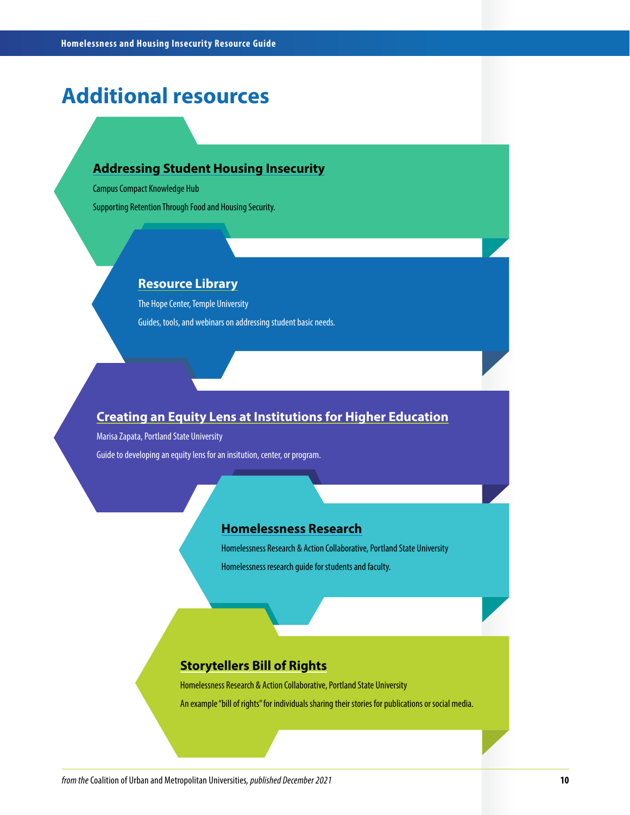## **Additional resources**

#### **[Addressing Student Housing Insecurity](https://compact.org/resource-posts/addressing-student-housing-insecurity/)**

Campus Compact Knowledge Hub

Supporting Retention Through Food and Housing Security.

#### **[Resource Library](https://hope4college.com/resources/)**

The Hope Center, Temple University Guides, tools, and webinars on addressing student basic needs.

#### **[Creating an Equity Lens at Institutions for Higher Education](https://works.bepress.com/marisa-zapata/10/)**

Marisa Zapata, Portland State University Guide to developing an equity lens for an insitution, center, or program.

#### **[Homelessness Research](https://guides.library.pdx.edu/homelessness)**

Homelessness Research & Action Collaborative, Portland State University Homelessness research guide for students and faculty.

#### **[Storytellers Bill of Rights](https://drive.google.com/file/d/1OPmGGwduN34wF-CBJOYsKTiThnuZeYGR/view?usp=sharing)**

Homelessness Research & Action Collaborative, Portland State University An example "bill of rights" for individuals sharing their stories for publications or social media.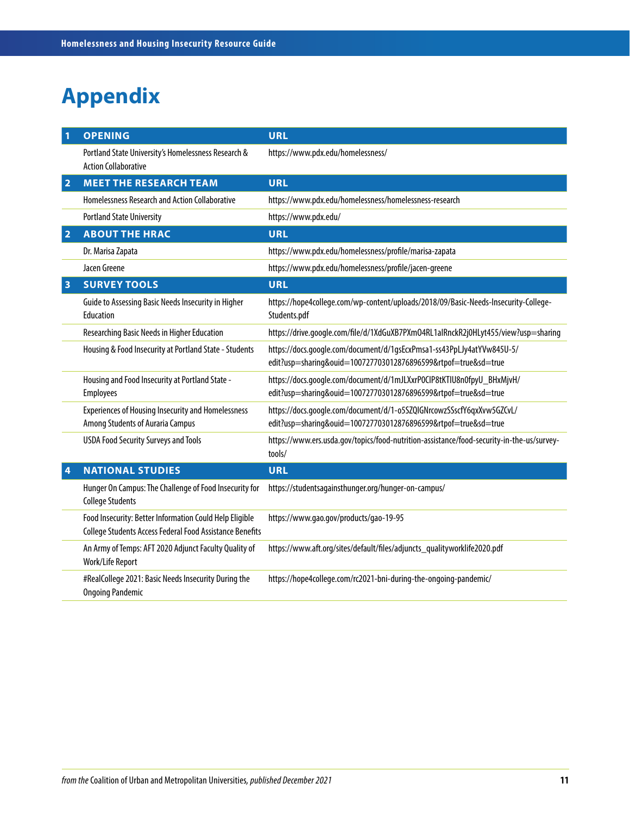# **Appendix**

| 1              | <b>OPENING</b>                                                                                                      | <b>URL</b>                                                                                                                              |
|----------------|---------------------------------------------------------------------------------------------------------------------|-----------------------------------------------------------------------------------------------------------------------------------------|
|                | Portland State University's Homelessness Research &<br><b>Action Collaborative</b>                                  | https://www.pdx.edu/homelessness/                                                                                                       |
| $\overline{2}$ | <b>MEET THE RESEARCH TEAM</b>                                                                                       | <b>URL</b>                                                                                                                              |
|                | Homelessness Research and Action Collaborative                                                                      | https://www.pdx.edu/homelessness/homelessness-research                                                                                  |
|                | <b>Portland State University</b>                                                                                    | https://www.pdx.edu/                                                                                                                    |
| $\overline{2}$ | <b>ABOUT THE HRAC</b>                                                                                               | <b>URL</b>                                                                                                                              |
|                | Dr. Marisa Zapata                                                                                                   | https://www.pdx.edu/homelessness/profile/marisa-zapata                                                                                  |
|                | Jacen Greene                                                                                                        | https://www.pdx.edu/homelessness/profile/jacen-greene                                                                                   |
| 3              | <b>SURVEY TOOLS</b>                                                                                                 | <b>URL</b>                                                                                                                              |
|                | Guide to Assessing Basic Needs Insecurity in Higher<br>Education                                                    | https://hope4college.com/wp-content/uploads/2018/09/Basic-Needs-Insecurity-College-<br>Students.pdf                                     |
|                | Researching Basic Needs in Higher Education                                                                         | https://drive.google.com/file/d/1XdGuXB7PXmO4RL1alRnckR2j0HLyt455/view?usp=sharing                                                      |
|                | Housing & Food Insecurity at Portland State - Students                                                              | https://docs.google.com/document/d/1gsEcxPmsa1-ss43PpLJy4atYVw845U-5/<br>edit?usp=sharing&ouid=100727703012876896599&rtpof=true&sd=true |
|                | Housing and Food Insecurity at Portland State -<br><b>Employees</b>                                                 | https://docs.google.com/document/d/1mJLXxrP0CIP8tKTIU8n0fpyU_BHxMjvH/<br>edit?usp=sharing&ouid=100727703012876896599&rtpof=true&sd=true |
|                | <b>Experiences of Housing Insecurity and Homelessness</b><br>Among Students of Auraria Campus                       | https://docs.google.com/document/d/1-o5SZQIGNrcowzSSscfY6qxXvw5GZCvL/<br>edit?usp=sharing&ouid=100727703012876896599&rtpof=true&sd=true |
|                | <b>USDA Food Security Surveys and Tools</b>                                                                         | https://www.ers.usda.gov/topics/food-nutrition-assistance/food-security-in-the-us/survey-<br>tools/                                     |
| 4              | <b>NATIONAL STUDIES</b>                                                                                             | <b>URL</b>                                                                                                                              |
|                | Hunger On Campus: The Challenge of Food Insecurity for<br><b>College Students</b>                                   | https://studentsagainsthunger.org/hunger-on-campus/                                                                                     |
|                | Food Insecurity: Better Information Could Help Eligible<br>College Students Access Federal Food Assistance Benefits | https://www.gao.gov/products/gao-19-95                                                                                                  |
|                | An Army of Temps: AFT 2020 Adjunct Faculty Quality of<br>Work/Life Report                                           | https://www.aft.org/sites/default/files/adjuncts_qualityworklife2020.pdf                                                                |
|                | #RealCollege 2021: Basic Needs Insecurity During the<br><b>Ongoing Pandemic</b>                                     | https://hope4college.com/rc2021-bni-during-the-ongoing-pandemic/                                                                        |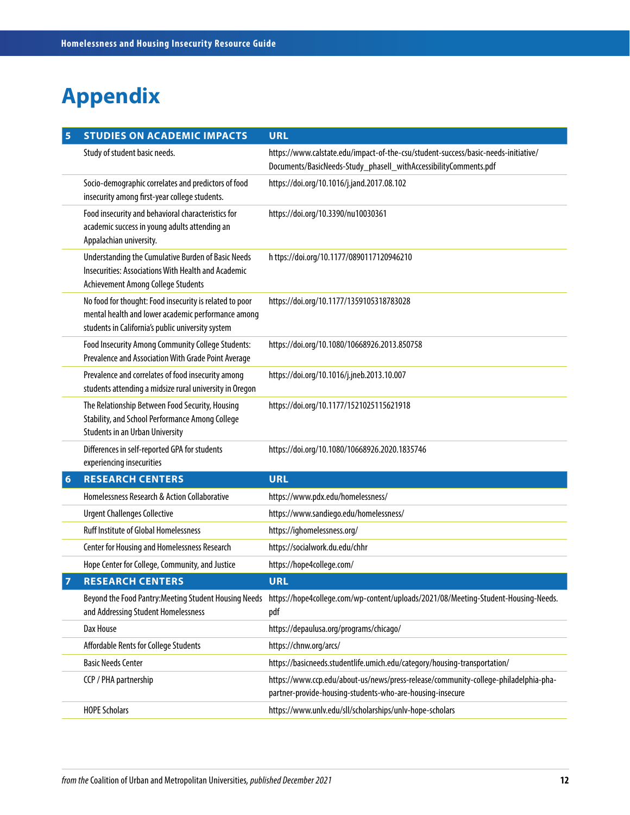# **Appendix**

| 5 | <b>STUDIES ON ACADEMIC IMPACTS</b>                                                                                                                                 | <b>URL</b>                                                                                                                                             |
|---|--------------------------------------------------------------------------------------------------------------------------------------------------------------------|--------------------------------------------------------------------------------------------------------------------------------------------------------|
|   | Study of student basic needs.                                                                                                                                      | https://www.calstate.edu/impact-of-the-csu/student-success/basic-needs-initiative/<br>Documents/BasicNeeds-Study_phaseII_withAccessibilityComments.pdf |
|   | Socio-demographic correlates and predictors of food<br>insecurity among first-year college students.                                                               | https://doi.org/10.1016/j.jand.2017.08.102                                                                                                             |
|   | Food insecurity and behavioral characteristics for<br>academic success in young adults attending an<br>Appalachian university.                                     | https://doi.org/10.3390/nu10030361                                                                                                                     |
|   | Understanding the Cumulative Burden of Basic Needs<br>Insecurities: Associations With Health and Academic<br><b>Achievement Among College Students</b>             | h ttps://doi.org/10.1177/0890117120946210                                                                                                              |
|   | No food for thought: Food insecurity is related to poor<br>mental health and lower academic performance among<br>students in California's public university system | https://doi.org/10.1177/1359105318783028                                                                                                               |
|   | Food Insecurity Among Community College Students:<br>Prevalence and Association With Grade Point Average                                                           | https://doi.org/10.1080/10668926.2013.850758                                                                                                           |
|   | Prevalence and correlates of food insecurity among<br>students attending a midsize rural university in Oregon                                                      | https://doi.org/10.1016/j.jneb.2013.10.007                                                                                                             |
|   | The Relationship Between Food Security, Housing<br>Stability, and School Performance Among College<br><b>Students in an Urban University</b>                       | https://doi.org/10.1177/1521025115621918                                                                                                               |
|   | Differences in self-reported GPA for students<br>experiencing insecurities                                                                                         | https://doi.org/10.1080/10668926.2020.1835746                                                                                                          |
| 6 | <b>RESEARCH CENTERS</b>                                                                                                                                            | <b>URL</b>                                                                                                                                             |
|   | Homelessness Research & Action Collaborative                                                                                                                       | https://www.pdx.edu/homelessness/                                                                                                                      |
|   | <b>Urgent Challenges Collective</b>                                                                                                                                | https://www.sandiego.edu/homelessness/                                                                                                                 |
|   | <b>Ruff Institute of Global Homelessness</b>                                                                                                                       | https://ighomelessness.org/                                                                                                                            |
|   | Center for Housing and Homelessness Research                                                                                                                       | https://socialwork.du.edu/chhr                                                                                                                         |
|   | Hope Center for College, Community, and Justice                                                                                                                    | https://hope4college.com/                                                                                                                              |
| 7 | <b>RESEARCH CENTERS</b>                                                                                                                                            | <b>URL</b>                                                                                                                                             |
|   | Beyond the Food Pantry: Meeting Student Housing Needs<br>and Addressing Student Homelessness                                                                       | https://hope4college.com/wp-content/uploads/2021/08/Meeting-Student-Housing-Needs.<br>pdf                                                              |
|   | Dax House                                                                                                                                                          | https://depaulusa.org/programs/chicago/                                                                                                                |
|   | Affordable Rents for College Students                                                                                                                              | https://chnw.org/arcs/                                                                                                                                 |
|   | <b>Basic Needs Center</b>                                                                                                                                          | https://basicneeds.studentlife.umich.edu/category/housing-transportation/                                                                              |
|   | CCP / PHA partnership                                                                                                                                              | https://www.ccp.edu/about-us/news/press-release/community-college-philadelphia-pha-<br>partner-provide-housing-students-who-are-housing-insecure       |
|   | <b>HOPE Scholars</b>                                                                                                                                               | https://www.unlv.edu/sll/scholarships/unlv-hope-scholars                                                                                               |